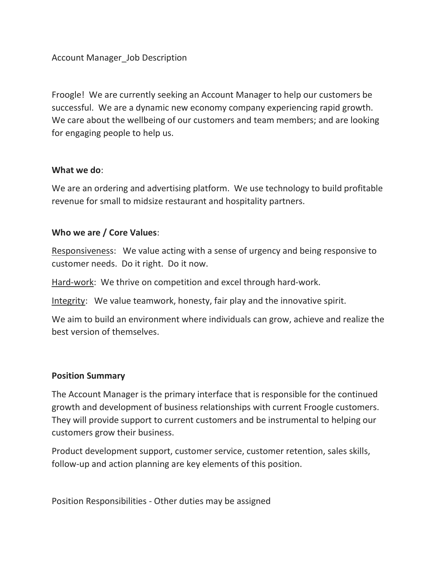Account Manager\_Job Description

Froogle! We are currently seeking an Account Manager to help our customers be successful. We are a dynamic new economy company experiencing rapid growth. We care about the wellbeing of our customers and team members; and are looking for engaging people to help us.

## What we do:

We are an ordering and advertising platform. We use technology to build profitable revenue for small to midsize restaurant and hospitality partners.

## Who we are / Core Values:

Responsiveness: We value acting with a sense of urgency and being responsive to customer needs. Do it right. Do it now.

Hard-work: We thrive on competition and excel through hard-work.

Integrity: We value teamwork, honesty, fair play and the innovative spirit.

We aim to build an environment where individuals can grow, achieve and realize the best version of themselves.

## Position Summary

The Account Manager is the primary interface that is responsible for the continued growth and development of business relationships with current Froogle customers. They will provide support to current customers and be instrumental to helping our customers grow their business.

Product development support, customer service, customer retention, sales skills, follow-up and action planning are key elements of this position.

Position Responsibilities - Other duties may be assigned